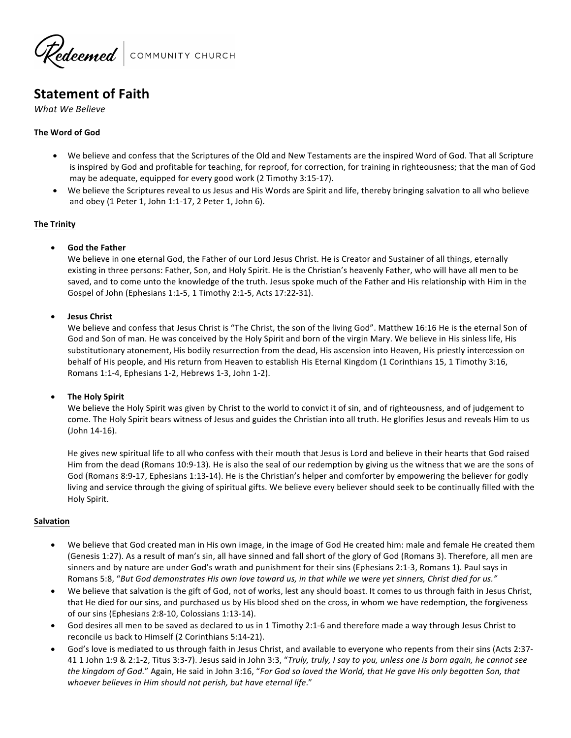

# **Statement of Faith**

*What We Believe*

### **The Word of God**

- We believe and confess that the Scriptures of the Old and New Testaments are the inspired Word of God. That all Scripture is inspired by God and profitable for teaching, for reproof, for correction, for training in righteousness; that the man of God may be adequate, equipped for every good work (2 Timothy 3:15-17).
- We believe the Scriptures reveal to us Jesus and His Words are Spirit and life, thereby bringing salvation to all who believe and obey (1 Peter 1, John 1:1-17, 2 Peter 1, John 6).

#### **The Trinity**

• **God the Father**

We believe in one eternal God, the Father of our Lord Jesus Christ. He is Creator and Sustainer of all things, eternally existing in three persons: Father, Son, and Holy Spirit. He is the Christian's heavenly Father, who will have all men to be saved, and to come unto the knowledge of the truth. Jesus spoke much of the Father and His relationship with Him in the Gospel of John (Ephesians 1:1-5, 1 Timothy 2:1-5, Acts 17:22-31).

#### • **Jesus Christ**

We believe and confess that Jesus Christ is "The Christ, the son of the living God". Matthew 16:16 He is the eternal Son of God and Son of man. He was conceived by the Holy Spirit and born of the virgin Mary. We believe in His sinless life, His substitutionary atonement, His bodily resurrection from the dead, His ascension into Heaven, His priestly intercession on behalf of His people, and His return from Heaven to establish His Eternal Kingdom (1 Corinthians 15, 1 Timothy 3:16, Romans 1:1-4, Ephesians 1-2, Hebrews 1-3, John 1-2).

#### **The Holy Spirit**

We believe the Holy Spirit was given by Christ to the world to convict it of sin, and of righteousness, and of judgement to come. The Holy Spirit bears witness of Jesus and guides the Christian into all truth. He glorifies Jesus and reveals Him to us (John 14-16).

He gives new spiritual life to all who confess with their mouth that Jesus is Lord and believe in their hearts that God raised Him from the dead (Romans 10:9-13). He is also the seal of our redemption by giving us the witness that we are the sons of God (Romans 8:9-17, Ephesians 1:13-14). He is the Christian's helper and comforter by empowering the believer for godly living and service through the giving of spiritual gifts. We believe every believer should seek to be continually filled with the Holy Spirit. 

#### **Salvation**

- We believe that God created man in His own image, in the image of God He created him: male and female He created them (Genesis 1:27). As a result of man's sin, all have sinned and fall short of the glory of God (Romans 3). Therefore, all men are sinners and by nature are under God's wrath and punishment for their sins (Ephesians 2:1-3, Romans 1). Paul says in Romans 5:8, "But God demonstrates His own love toward us, in that while we were yet sinners, Christ died for us."
- We believe that salvation is the gift of God, not of works, lest any should boast. It comes to us through faith in Jesus Christ, that He died for our sins, and purchased us by His blood shed on the cross, in whom we have redemption, the forgiveness of our sins (Ephesians 2:8-10, Colossians 1:13-14).
- God desires all men to be saved as declared to us in 1 Timothy 2:1-6 and therefore made a way through Jesus Christ to reconcile us back to Himself (2 Corinthians 5:14-21).
- God's love is mediated to us through faith in Jesus Christ, and available to everyone who repents from their sins (Acts 2:37-41 1 John 1:9 & 2:1-2, Titus 3:3-7). Jesus said in John 3:3, "Truly, truly, I say to you, unless one is born again, he cannot see the kingdom of God." Again, He said in John 3:16, "For God so loved the World, that He gave His only begotten Son, that whoever believes in Him should not perish, but have eternal life."